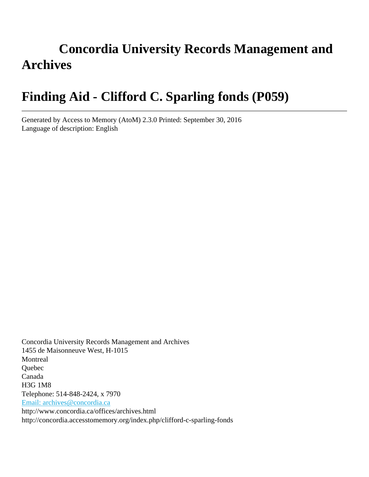# **Concordia University Records Management and Archives**

# **Finding Aid - Clifford C. Sparling fonds (P059)**

Generated by Access to Memory (AtoM) 2.3.0 Printed: September 30, 2016 Language of description: English

Concordia University Records Management and Archives 1455 de Maisonneuve West, H-1015 Montreal Quebec Canada H3G 1M8 Telephone: 514-848-2424, x 7970 [Email: archives@concordia.ca](mailto:Email: archives@concordia.ca) http://www.concordia.ca/offices/archives.html http://concordia.accesstomemory.org/index.php/clifford-c-sparling-fonds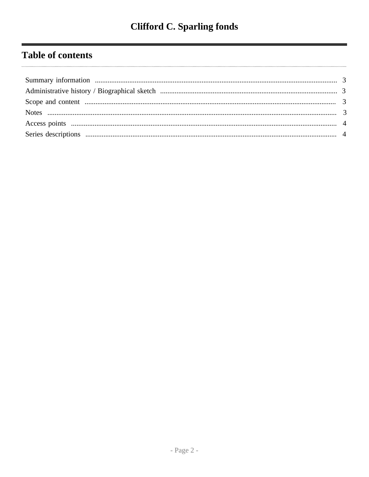# **Table of contents**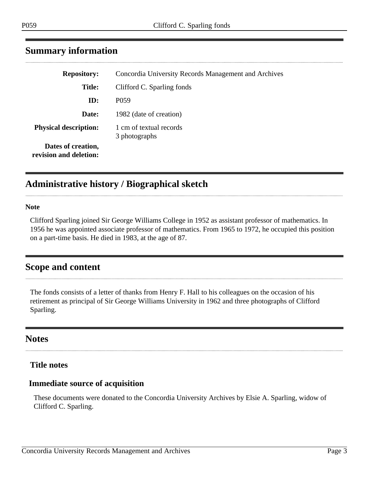| <b>Repository:</b>                           | Concordia University Records Management and Archives |  |  |  |
|----------------------------------------------|------------------------------------------------------|--|--|--|
| <b>Title:</b>                                | Clifford C. Sparling fonds                           |  |  |  |
| ID:                                          | P <sub>059</sub>                                     |  |  |  |
| Date:                                        | 1982 (date of creation)                              |  |  |  |
| <b>Physical description:</b>                 | 1 cm of textual records<br>3 photographs             |  |  |  |
| Dates of creation,<br>revision and deletion: |                                                      |  |  |  |

### <span id="page-2-0"></span>**Summary information**

## <span id="page-2-1"></span>**Administrative history / Biographical sketch**

**Note**

Clifford Sparling joined Sir George Williams College in 1952 as assistant professor of mathematics. In 1956 he was appointed associate professor of mathematics. From 1965 to 1972, he occupied this position on a part-time basis. He died in 1983, at the age of 87.

#### <span id="page-2-2"></span>**Scope and content**

The fonds consists of a letter of thanks from Henry F. Hall to his colleagues on the occasion of his retirement as principal of Sir George Williams University in 1962 and three photographs of Clifford Sparling.

### <span id="page-2-3"></span>**Notes**

#### **Title notes**

#### **Immediate source of acquisition**

These documents were donated to the Concordia University Archives by Elsie A. Sparling, widow of Clifford C. Sparling.